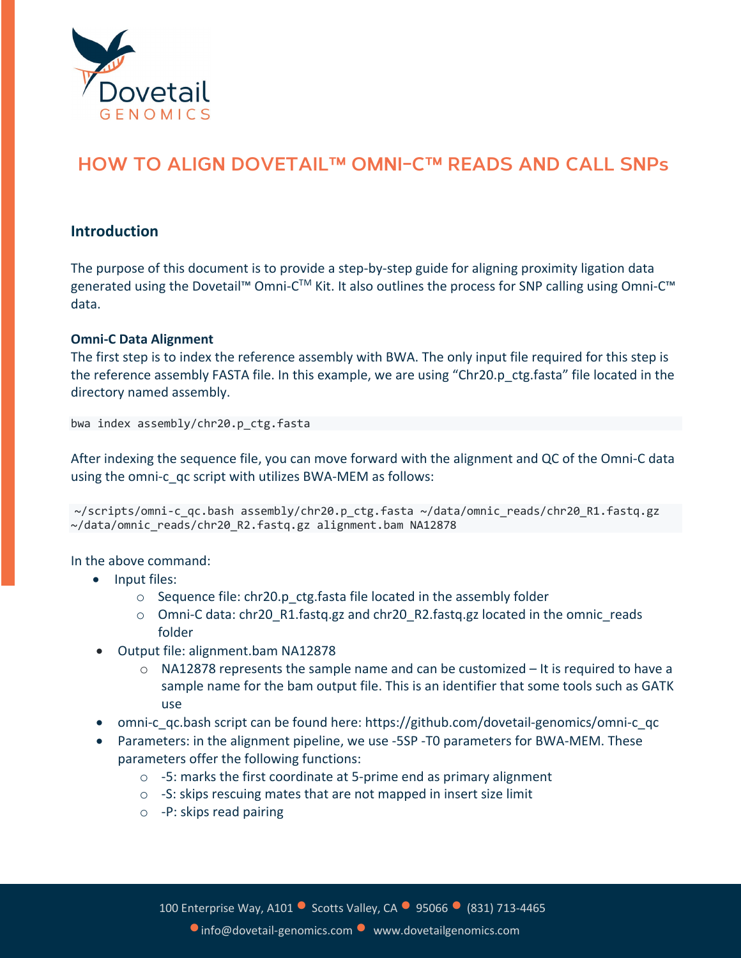

## **HOW TO ALIGN DOVETAIL™ OMNI-C™ READS AND CALL SNPs**

## **Introduction**

The purpose of this document is to provide a step-by-step guide for aligning proximity ligation data generated using the Dovetail™ Omni-C<sup>™</sup> Kit. It also outlines the process for SNP calling using Omni-C™ data.

## **Omni-C Data Alignment**

The first step is to index the reference assembly with BWA. The only input file required for this step is the reference assembly FASTA file. In this example, we are using "Chr20.p ctg.fasta" file located in the directory named assembly.

bwa index assembly/chr20.p\_ctg.fasta

After indexing the sequence file, you can move forward with the alignment and QC of the Omni-C data using the omni-c qc script with utilizes BWA-MEM as follows:

~/scripts/omni-c\_qc.bash assembly/chr20.p\_ctg.fasta ~/data/omnic\_reads/chr20\_R1.fastq.gz ~/data/omnic\_reads/chr20\_R2.fastq.gz alignment.bam NA12878

In the above command:

- Input files:
	- $\circ$  Sequence file: chr20.p ctg.fasta file located in the assembly folder
	- $\circ$  Omni-C data: chr20 R1.fastq.gz and chr20 R2.fastq.gz located in the omnic reads folder
- Output file: alignment.bam NA12878
	- $\circ$  NA12878 represents the sample name and can be customized  $-$  It is required to have a sample name for the bam output file. This is an identifier that some tools such as GATK use
- omni-c\_qc.bash script can be found here: https://github.com/dovetail-genomics/omni-c\_qc
- Parameters: in the alignment pipeline, we use -5SP -T0 parameters for BWA-MEM. These parameters offer the following functions:
	- o -5: marks the first coordinate at 5-prime end as primary alignment
	- $\circ$  -S: skips rescuing mates that are not mapped in insert size limit
	- o -P: skips read pairing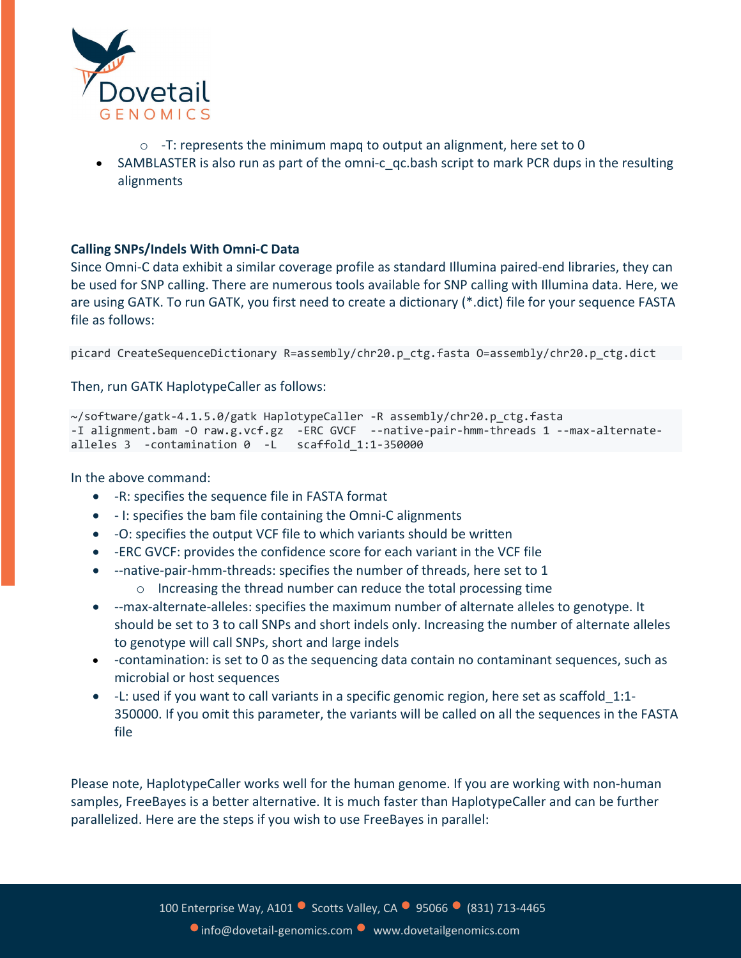

- o -T: represents the minimum mapq to output an alignment, here set to 0
- SAMBLASTER is also run as part of the omni-c qc.bash script to mark PCR dups in the resulting alignments

## **Calling SNPs/Indels With Omni-C Data**

Since Omni-C data exhibit a similar coverage profile as standard Illumina paired-end libraries, they can be used for SNP calling. There are numerous tools available for SNP calling with Illumina data. Here, we are using GATK. To run GATK, you first need to create a dictionary (\*.dict) file for your sequence FASTA file as follows:

picard CreateSequenceDictionary R=assembly/chr20.p\_ctg.fasta O=assembly/chr20.p\_ctg.dict

Then, run GATK HaplotypeCaller as follows:

```
~/software/gatk-4.1.5.0/gatk HaplotypeCaller -R assembly/chr20.p_ctg.fasta
-I alignment.bam -O raw.g.vcf.gz -ERC GVCF --native-pair-hmm-threads 1 --max-alternate-
alleles 3 -contamination 0 -L scaffold_1:1-350000
```
In the above command:

- -R: specifies the sequence file in FASTA format
- - I: specifies the bam file containing the Omni-C alignments
- -O: specifies the output VCF file to which variants should be written
- -ERC GVCF: provides the confidence score for each variant in the VCF file
- --native-pair-hmm-threads: specifies the number of threads, here set to 1
	- o Increasing the thread number can reduce the total processing time
- --max-alternate-alleles: specifies the maximum number of alternate alleles to genotype. It should be set to 3 to call SNPs and short indels only. Increasing the number of alternate alleles to genotype will call SNPs, short and large indels
- - contamination: is set to 0 as the sequencing data contain no contaminant sequences, such as microbial or host sequences
- -L: used if you want to call variants in a specific genomic region, here set as scaffold\_1:1- 350000. If you omit this parameter, the variants will be called on all the sequences in the FASTA file

Please note, HaplotypeCaller works well for the human genome. If you are working with non-human samples, FreeBayes is a better alternative. It is much faster than HaplotypeCaller and can be further parallelized. Here are the steps if you wish to use FreeBayes in parallel: